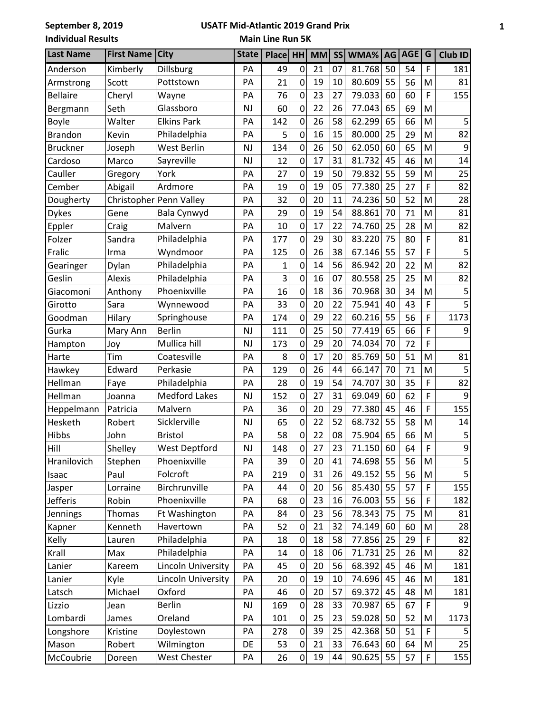## **USATF Mid-Atlantic 2019 Grand Prix**

**Main Line Run 5K**

| <b>Last Name</b> | <b>First Name</b> | <b>City</b>             | <b>State</b> | Place | <b>HH</b>      | <b>MM</b> | <b>SS</b> | WMA%   | AG | AGE | G | <b>Club ID</b> |
|------------------|-------------------|-------------------------|--------------|-------|----------------|-----------|-----------|--------|----|-----|---|----------------|
| Anderson         | Kimberly          | Dillsburg               | PA           | 49    | 0              | 21        | 07        | 81.768 | 50 | 54  | F | 181            |
| Armstrong        | Scott             | Pottstown               | PA           | 21    | $\overline{0}$ | 19        | 10        | 80.609 | 55 | 56  | M | 81             |
| <b>Bellaire</b>  | Cheryl            | Wayne                   | PA           | 76    | $\mathbf 0$    | 23        | 27        | 79.033 | 60 | 60  | F | 155            |
| Bergmann         | Seth              | Glassboro               | NJ           | 60    | $\mathbf 0$    | 22        | 26        | 77.043 | 65 | 69  | M |                |
| <b>Boyle</b>     | Walter            | <b>Elkins Park</b>      | PA           | 142   | $\mathbf 0$    | 26        | 58        | 62.299 | 65 | 66  | M | 5              |
| <b>Brandon</b>   | Kevin             | Philadelphia            | PA           | 5     | 0              | 16        | 15        | 80.000 | 25 | 29  | M | 82             |
| <b>Bruckner</b>  | Joseph            | West Berlin             | <b>NJ</b>    | 134   | $\mathbf 0$    | 26        | 50        | 62.050 | 60 | 65  | M | 9              |
| Cardoso          | Marco             | Sayreville              | NJ           | 12    | 0              | 17        | 31        | 81.732 | 45 | 46  | M | 14             |
| Cauller          | Gregory           | York                    | PA           | 27    | $\mathbf 0$    | 19        | 50        | 79.832 | 55 | 59  | M | 25             |
| Cember           | Abigail           | Ardmore                 | PA           | 19    | $\overline{0}$ | 19        | 05        | 77.380 | 25 | 27  | F | 82             |
| Dougherty        |                   | Christopher Penn Valley | PA           | 32    | $\mathbf 0$    | 20        | 11        | 74.236 | 50 | 52  | M | 28             |
| <b>Dykes</b>     | Gene              | Bala Cynwyd             | PA           | 29    | $\mathbf 0$    | 19        | 54        | 88.861 | 70 | 71  | M | 81             |
| Eppler           | Craig             | Malvern                 | PA           | 10    | $\mathbf 0$    | 17        | 22        | 74.760 | 25 | 28  | M | 82             |
| Folzer           | Sandra            | Philadelphia            | PA           | 177   | $\overline{0}$ | 29        | 30        | 83.220 | 75 | 80  | F | 81             |
| Fralic           | Irma              | Wyndmoor                | PA           | 125   | $\mathbf 0$    | 26        | 38        | 67.146 | 55 | 57  | F | 5              |
| Gearinger        | Dylan             | Philadelphia            | PA           | 1     | $\mathbf 0$    | 14        | 56        | 86.942 | 20 | 22  | M | 82             |
| Geslin           | <b>Alexis</b>     | Philadelphia            | PA           | 3     | $\overline{0}$ | 16        | 07        | 80.558 | 25 | 25  | M | 82             |
| Giacomoni        | Anthony           | Phoenixville            | PA           | 16    | $\mathbf 0$    | 18        | 36        | 70.968 | 30 | 34  | M | 5              |
| Girotto          | Sara              | Wynnewood               | PA           | 33    | $\overline{0}$ | 20        | 22        | 75.941 | 40 | 43  | F | 5              |
| Goodman          | Hilary            | Springhouse             | PA           | 174   | 0              | 29        | 22        | 60.216 | 55 | 56  | F | 1173           |
| Gurka            | Mary Ann          | <b>Berlin</b>           | <b>NJ</b>    | 111   | $\overline{0}$ | 25        | 50        | 77.419 | 65 | 66  | F | 9              |
| Hampton          | Joy               | Mullica hill            | <b>NJ</b>    | 173   | $\mathbf 0$    | 29        | 20        | 74.034 | 70 | 72  | F |                |
| Harte            | Tim               | Coatesville             | PA           | 8     | $\mathbf 0$    | 17        | 20        | 85.769 | 50 | 51  | M | 81             |
| Hawkey           | Edward            | Perkasie                | PA           | 129   | $\overline{0}$ | 26        | 44        | 66.147 | 70 | 71  | M | 5              |
| Hellman          | Faye              | Philadelphia            | PA           | 28    | 0              | 19        | 54        | 74.707 | 30 | 35  | F | 82             |
| Hellman          | Joanna            | <b>Medford Lakes</b>    | <b>NJ</b>    | 152   | $\mathbf 0$    | 27        | 31        | 69.049 | 60 | 62  | F | 9              |
| Heppelmann       | Patricia          | Malvern                 | PA           | 36    | $\mathbf 0$    | 20        | 29        | 77.380 | 45 | 46  | F | 155            |
| Hesketh          | Robert            | Sicklerville            | <b>NJ</b>    | 65    | $\overline{0}$ | 22        | 52        | 68.732 | 55 | 58  | M | 14             |
| <b>Hibbs</b>     | John              | <b>Bristol</b>          | PA           | 58    | 0              | 22        | 08        | 75.904 | 65 | 66  | M | 5              |
| Hill             | Shelley           | West Deptford           | NJ           | 148   | 0              | 27        | 23        | 71.150 | 60 | 64  | F | 9              |
| Hranilovich      | Stephen           | Phoenixville            | PA           | 39    | $\mathbf 0$    | 20        | 41        | 74.698 | 55 | 56  | M | $\mathsf S$    |
| Isaac            | Paul              | Folcroft                | PA           | 219   | 0              | 31        | 26        | 49.152 | 55 | 56  | M |                |
| Jasper           | Lorraine          | Birchrunville           | PA           | 44    | $\mathbf 0$    | 20        | 56        | 85.430 | 55 | 57  | F | 155            |
| <b>Jefferis</b>  | Robin             | Phoenixville            | PA           | 68    | 0              | 23        | 16        | 76.003 | 55 | 56  | F | 182            |
| Jennings         | Thomas            | Ft Washington           | PA           | 84    | $\mathbf 0$    | 23        | 56        | 78.343 | 75 | 75  | M | 81             |
| Kapner           | Kenneth           | Havertown               | PA           | 52    | $\mathbf 0$    | 21        | 32        | 74.149 | 60 | 60  | M | 28             |
| Kelly            | Lauren            | Philadelphia            | PA           | 18    | 0              | 18        | 58        | 77.856 | 25 | 29  | F | 82             |
| Krall            | Max               | Philadelphia            | PA           | 14    | $\mathbf 0$    | 18        | 06        | 71.731 | 25 | 26  | M | 82             |
| Lanier           | Kareem            | Lincoln University      | PA           | 45    | 0              | 20        | 56        | 68.392 | 45 | 46  | M | 181            |
| Lanier           | Kyle              | Lincoln University      | PA           | 20    | $\mathbf 0$    | 19        | 10        | 74.696 | 45 | 46  | M | 181            |
| Latsch           | Michael           | Oxford                  | PA           | 46    | 0              | 20        | 57        | 69.372 | 45 | 48  | M | 181            |
| Lizzio           | Jean              | <b>Berlin</b>           | NJ           | 169   | 0              | 28        | 33        | 70.987 | 65 | 67  | F | 9              |
| Lombardi         | James             | Oreland                 | PA           | 101   | $\mathbf 0$    | 25        | 23        | 59.028 | 50 | 52  | M | 1173           |
| Longshore        | Kristine          | Doylestown              | PA           | 278   | 0              | 39        | 25        | 42.368 | 50 | 51  | F |                |
| Mason            | Robert            | Wilmington              | DE           | 53    | $\mathbf 0$    | 21        | 33        | 76.643 | 60 | 64  | M | 25             |
| McCoubrie        | Doreen            | West Chester            | PA           | 26    | 0              | 19        | 44        | 90.625 | 55 | 57  | F | 155            |